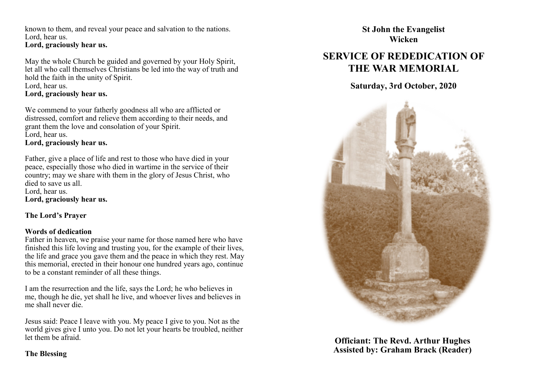known to them, and reveal your peace and salvation to the nations. Lord, hear us. **Lord, graciously hear us.**

May the whole Church be guided and governed by your Holy Spirit, let all who call themselves Christians be led into the way of truth and hold the faith in the unity of Spirit. Lord, hear us. **Lord, graciously hear us.**

We commend to your fatherly goodness all who are afflicted or distressed, comfort and relieve them according to their needs, and grant them the love and consolation of your Spirit. Lord, hear us.

**Lord, graciously hear us.**

Father, give a place of life and rest to those who have died in your peace, especially those who died in wartime in the service of their country; may we share with them in the glory of Jesus Christ, who died to save us all. Lord, hear us. **Lord, graciously hear us.**

## **The Lord's Prayer**

## **Words of dedication**

Father in heaven, we praise your name for those named here who have finished this life loving and trusting you, for the example of their lives, the life and grace you gave them and the peace in which they rest. May this memorial, erected in their honour one hundred years ago, continue to be a constant reminder of all these things.

I am the resurrection and the life, says the Lord; he who believes in me, though he die, yet shall he live, and whoever lives and believes in me shall never die.

Jesus said: Peace I leave with you. My peace I give to you. Not as the world gives give I unto you. Do not let your hearts be troubled, neither let them be afraid.

**St John the Evangelist Wicken**

# **SERVICE OF REDEDICATION OF THE WAR MEMORIAL**

**Saturday, 3rd October, 2020**



**Officiant: The Revd. Arthur Hughes Assisted by: Graham Brack (Reader)**

## **The Blessing**